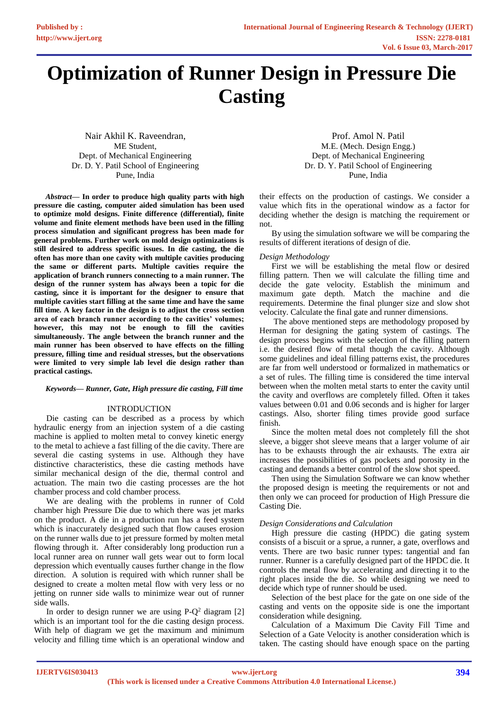# **Optimization of Runner Design in Pressure Die Casting**

Nair Akhil K. Raveendran, ME Student, Dept. of Mechanical Engineering Dr. D. Y. Patil School of Engineering Pune, India

*Abstract***— In order to produce high quality parts with high pressure die casting, computer aided simulation has been used to optimize mold designs. Finite difference (differential), finite volume and finite element methods have been used in the filling process simulation and significant progress has been made for general problems. Further work on mold design optimizations is still desired to address specific issues. In die casting, the die often has more than one cavity with multiple cavities producing the same or different parts. Multiple cavities require the application of branch runners connecting to a main runner. The design of the runner system has always been a topic for die casting, since it is important for the designer to ensure that multiple cavities start filling at the same time and have the same fill time. A key factor in the design is to adjust the cross section area of each branch runner according to the cavities' volumes; however, this may not be enough to fill the cavities simultaneously. The angle between the branch runner and the main runner has been observed to have effects on the filling pressure, filling time and residual stresses, but the observations were limited to very simple lab level die design rather than practical castings.**

#### *Keywords— Runner, Gate, High pressure die casting, Fill time*

### INTRODUCTION

Die casting can be described as a process by which hydraulic energy from an injection system of a die casting machine is applied to molten metal to convey kinetic energy to the metal to achieve a fast filling of the die cavity. There are several die casting systems in use. Although they have distinctive characteristics, these die casting methods have similar mechanical design of the die, thermal control and actuation. The main two die casting processes are the hot chamber process and cold chamber process.

We are dealing with the problems in runner of Cold chamber high Pressure Die due to which there was jet marks on the product. A die in a production run has a feed system which is inaccurately designed such that flow causes erosion on the runner walls due to jet pressure formed by molten metal flowing through it. After considerably long production run a local runner area on runner wall gets wear out to form local depression which eventually causes further change in the flow direction. A solution is required with which runner shall be designed to create a molten metal flow with very less or no jetting on runner side walls to minimize wear out of runner side walls.

In order to design runner we are using  $P-Q^2$  diagram [2] which is an important tool for the die casting design process. With help of diagram we get the maximum and minimum velocity and filling time which is an operational window and

Prof. Amol N. Patil M.E. (Mech. Design Engg.) Dept. of Mechanical Engineering Dr. D. Y. Patil School of Engineering Pune, India

their effects on the production of castings. We consider a value which fits in the operational window as a factor for deciding whether the design is matching the requirement or not.

By using the simulation software we will be comparing the results of different iterations of design of die.

#### *Design Methodology*

First we will be establishing the metal flow or desired filling pattern. Then we will calculate the filling time and decide the gate velocity. Establish the minimum and maximum gate depth. Match the machine and die requirements. Determine the final plunger size and slow shot velocity. Calculate the final gate and runner dimensions.

The above mentioned steps are methodology proposed by Herman for designing the gating system of castings. The design process begins with the selection of the filling pattern i.e. the desired flow of metal though the cavity. Although some guidelines and ideal filling patterns exist, the procedures are far from well understood or formalized in mathematics or a set of rules. The filling time is considered the time interval between when the molten metal starts to enter the cavity until the cavity and overflows are completely filled. Often it takes values between 0.01 and 0.06 seconds and is higher for larger castings. Also, shorter filing times provide good surface finish.

Since the molten metal does not completely fill the shot sleeve, a bigger shot sleeve means that a larger volume of air has to be exhausts through the air exhausts. The extra air increases the possibilities of gas pockets and porosity in the casting and demands a better control of the slow shot speed.

Then using the Simulation Software we can know whether the proposed design is meeting the requirements or not and then only we can proceed for production of High Pressure die Casting Die.

### *Design Considerations and Calculation*

High pressure die casting (HPDC) die gating system consists of a biscuit or a sprue, a runner, a gate, overflows and vents. There are two basic runner types: tangential and fan runner. Runner is a carefully designed part of the HPDC die. It controls the metal flow by accelerating and directing it to the right places inside the die. So while designing we need to decide which type of runner should be used.

Selection of the best place for the gate on one side of the casting and vents on the opposite side is one the important consideration while designing.

Calculation of a Maximum Die Cavity Fill Time and Selection of a Gate Velocity is another consideration which is taken. The casting should have enough space on the parting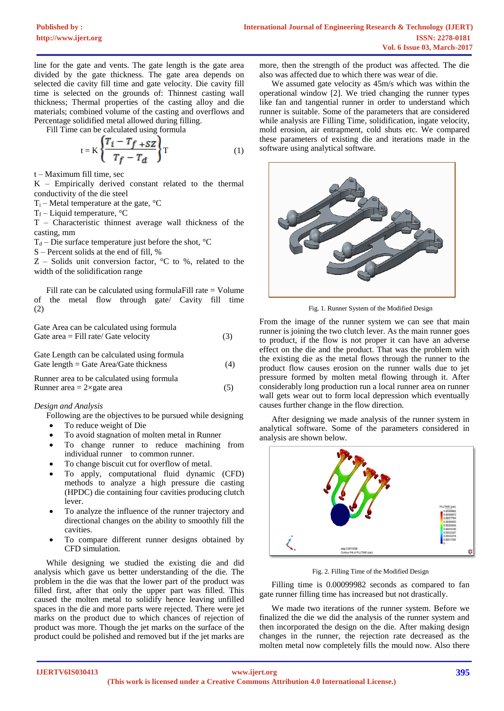line for the gate and vents. The gate length is the gate area divided by the gate thickness. The gate area depends on selected die cavity fill time and gate velocity. Die cavity fill time is selected on the grounds of: Thinnest casting wall thickness; Thermal properties of the casting alloy and die materials; combined volume of the casting and overflows and Percentage solidified metal allowed during filling.

Fill Time can be calculated using formula

$$
t = K \left\{ \frac{T_i - T_f + SZ}{T_f - T_d} \right\} T \tag{1}
$$

t – Maximum fill time, sec

K – Empirically derived constant related to the thermal conductivity of the die steel

 $T_i$  – Metal temperature at the gate,  ${}^{\circ}C$ 

 $T_f$  – Liquid temperature,  $^{\circ}C$ 

T – Characteristic thinnest average wall thickness of the casting, mm

 $T_d$  – Die surface temperature just before the shot,  $^{\circ}C$ 

S – Percent solids at the end of fill, %

 $Z$  – Solids unit conversion factor,  ${}^{\circ}C$  to %, related to the width of the solidification range

Fill rate can be calculated using formulaFill rate = Volume of the metal flow through gate/ Cavity fill time (2)

Gate Area can be calculated using formula Gate area  $=$  Fill rate/ Gate velocity (3)

Gate Length can be calculated using formula Gate length = Gate Area/Gate thickness  $(4)$ 

Runner area to be calculated using formula Runner area =  $2 \times$ gate area (5)

# *Design and Analysis*

Following are the objectives to be pursued while designing

- To reduce weight of Die
- To avoid stagnation of molten metal in Runner
- To change runner to reduce machining from individual runner to common runner.
- To change biscuit cut for overflow of metal.
- To apply, computational fluid dynamic (CFD) methods to analyze a high pressure die casting (HPDC) die containing four cavities producing clutch lever.
- To analyze the influence of the runner trajectory and directional changes on the ability to smoothly fill the cavities.
- To compare different runner designs obtained by CFD simulation.

While designing we studied the existing die and did analysis which gave us better understanding of the die. The problem in the die was that the lower part of the product was filled first, after that only the upper part was filled. This caused the molten metal to solidify hence leaving unfilled spaces in the die and more parts were rejected. There were jet marks on the product due to which chances of rejection of product was more. Though the jet marks on the surface of the product could be polished and removed but if the jet marks are

more, then the strength of the product was affected. The die also was affected due to which there was wear of die.

We assumed gate velocity as 45m/s which was within the operational window [2]. We tried changing the runner types like fan and tangential runner in order to understand which runner is suitable. Some of the parameters that are considered while analysis are Filling Time, solidification, ingate velocity, mold erosion, air entrapment, cold shuts etc. We compared these parameters of existing die and iterations made in the software using analytical software.



Fig. 1. Runner System of the Modified Design

From the image of the runner system we can see that main runner is joining the two clutch lever. As the main runner goes to product, if the flow is not proper it can have an adverse effect on the die and the product. That was the problem with the existing die as the metal flows through the runner to the product flow causes erosion on the runner walls due to jet pressure formed by molten metal flowing through it. After considerably long production run a local runner area on runner wall gets wear out to form local depression which eventually causes further change in the flow direction.

After designing we made analysis of the runner system in analytical software. Some of the parameters considered in analysis are shown below.



Fig. 2. Filling Time of the Modified Design

Filling time is 0.00099982 seconds as compared to fan gate runner filling time has increased but not drastically.

We made two iterations of the runner system. Before we finalized the die we did the analysis of the runner system and then incorporated the design on the die. After making design changes in the runner, the rejection rate decreased as the molten metal now completely fills the mould now. Also there